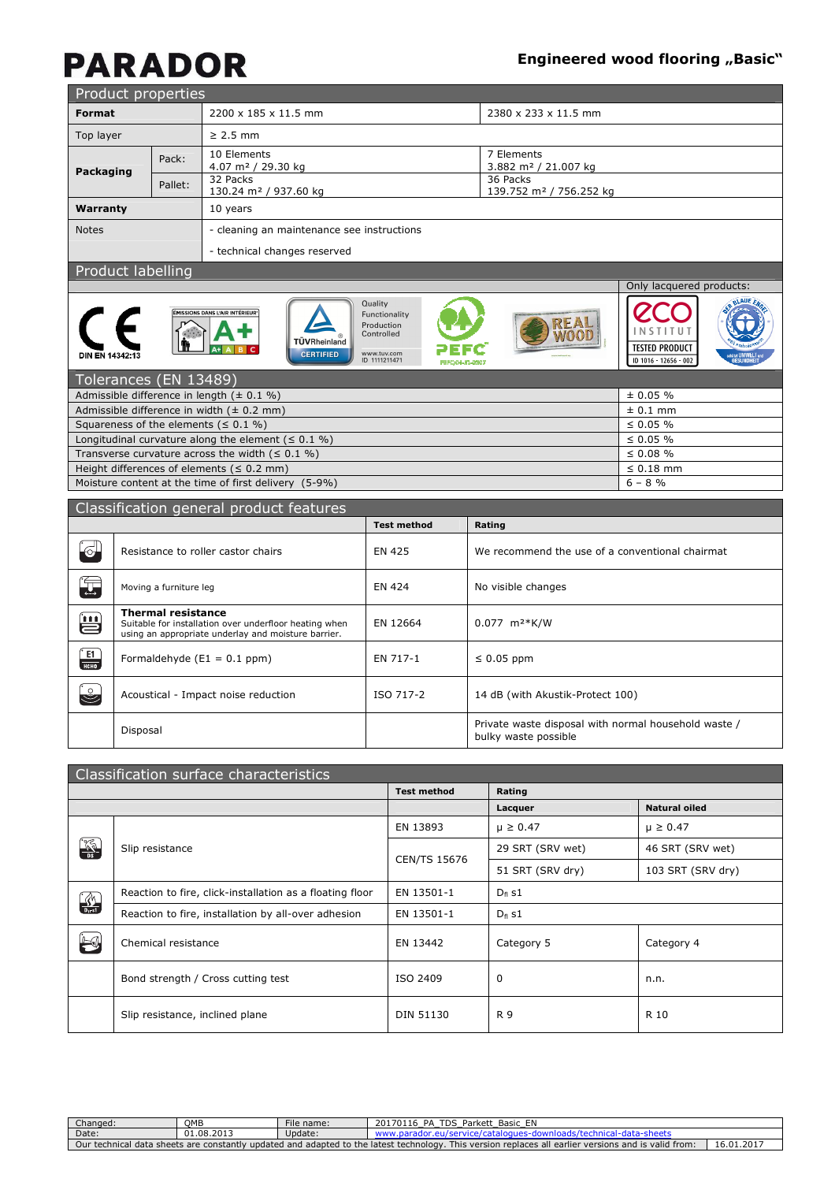# **PARADOR**

### **Engineered wood flooring "Basic"**

| Product properties                          |         |                                               |                                                 |  |  |  |
|---------------------------------------------|---------|-----------------------------------------------|-------------------------------------------------|--|--|--|
| <b>Format</b>                               |         | 2200 x 185 x 11.5 mm                          | 2380 x 233 x 11.5 mm                            |  |  |  |
| Top layer                                   |         | $\geq$ 2.5 mm                                 |                                                 |  |  |  |
| Packaging                                   | Pack:   | 10 Elements<br>4.07 m <sup>2</sup> / 29.30 kg | 7 Elements<br>3.882 m <sup>2</sup> / 21.007 kg  |  |  |  |
|                                             | Pallet: | 32 Packs<br>130.24 m <sup>2</sup> / 937.60 kg | 36 Packs<br>139.752 m <sup>2</sup> / 756.252 kg |  |  |  |
| Warranty                                    |         | 10 years                                      |                                                 |  |  |  |
| <b>Notes</b>                                |         | - cleaning an maintenance see instructions    |                                                 |  |  |  |
|                                             |         | - technical changes reserved                  |                                                 |  |  |  |
| <b>Experience of the state of the state</b> |         |                                               |                                                 |  |  |  |

Quality

Production<br>Controlled

www.tuv.com<br>ID 1111211471

#### Product labelling











**REAL**<br>WOOD

| Tolerances (EN 13489)                                    |                |
|----------------------------------------------------------|----------------|
| Admissible difference in length $(± 0.1 %)$              | $\pm 0.05 \%$  |
| Admissible difference in width $(± 0.2 mm)$              | $\pm$ 0.1 mm   |
| Squareness of the elements ( $\leq 0.1$ %)               | $\leq 0.05 \%$ |
| Longitudinal curvature along the element ( $\leq 0.1$ %) | $\leq 0.05 \%$ |
| Transverse curvature across the width $( \leq 0.1 \%)$   | $\leq 0.08 \%$ |
| Height differences of elements ( $\leq$ 0.2 mm)          | $\leq 0.18$ mm |
| Moisture content at the time of first delivery (5-9%)    | $6 - 8 \%$     |
|                                                          |                |

|                                       | Classification general product features                                                                                                    |                    |                                                                              |  |  |  |  |
|---------------------------------------|--------------------------------------------------------------------------------------------------------------------------------------------|--------------------|------------------------------------------------------------------------------|--|--|--|--|
|                                       |                                                                                                                                            | <b>Test method</b> | Rating                                                                       |  |  |  |  |
| $\Theta$                              | Resistance to roller castor chairs                                                                                                         | EN 425             | We recommend the use of a conventional chairmat                              |  |  |  |  |
| 写                                     | Moving a furniture leg                                                                                                                     | EN 424             | No visible changes                                                           |  |  |  |  |
| $\color{red}{{\color{red} \bm{\Xi}}}$ | <b>Thermal resistance</b><br>Suitable for installation over underfloor heating when<br>using an appropriate underlay and moisture barrier. | EN 12664           | $0.077$ m <sup>2</sup> *K/W                                                  |  |  |  |  |
| $\frac{1}{\text{hchod}}$              | Formaldehyde $(E1 = 0.1$ ppm)                                                                                                              | EN 717-1           | $\leq 0.05$ ppm                                                              |  |  |  |  |
| $\mathbb{C}$                          | Acoustical - Impact noise reduction                                                                                                        | ISO 717-2          | 14 dB (with Akustik-Protect 100)                                             |  |  |  |  |
|                                       | Disposal                                                                                                                                   |                    | Private waste disposal with normal household waste /<br>bulky waste possible |  |  |  |  |

|                      | Classification surface characteristics                                 |                     |                  |                      |  |  |  |  |
|----------------------|------------------------------------------------------------------------|---------------------|------------------|----------------------|--|--|--|--|
|                      |                                                                        | <b>Test method</b>  | Rating           |                      |  |  |  |  |
|                      |                                                                        |                     | Lacquer          | <b>Natural oiled</b> |  |  |  |  |
|                      |                                                                        | EN 13893            | $\mu \ge 0.47$   | $\mu \ge 0.47$       |  |  |  |  |
| K                    | Slip resistance                                                        | <b>CEN/TS 15676</b> | 29 SRT (SRV wet) | 46 SRT (SRV wet)     |  |  |  |  |
|                      |                                                                        |                     | 51 SRT (SRV dry) | 103 SRT (SRV dry)    |  |  |  |  |
| $\frac{1}{\sqrt{2}}$ | Reaction to fire, click-installation as a floating floor<br>EN 13501-1 |                     | $D_{fl}$ s1      |                      |  |  |  |  |
|                      | Reaction to fire, installation by all-over adhesion                    | EN 13501-1          | $D_{fl}$ s1      | Category 4           |  |  |  |  |
| $\triangle$          | Chemical resistance                                                    | EN 13442            | Category 5       |                      |  |  |  |  |
|                      | Bond strength / Cross cutting test                                     | ISO 2409            | 0                | n.n.                 |  |  |  |  |
|                      | Slip resistance, inclined plane                                        | DIN 51130           | R 9              | R 10                 |  |  |  |  |

| Changed:                                                                                                                                                                                           | OMB        | File name: | Parkett Basic EN<br>່າ017011ປ<br>TDS.<br>PΔ |  |  |
|----------------------------------------------------------------------------------------------------------------------------------------------------------------------------------------------------|------------|------------|---------------------------------------------|--|--|
| Date:                                                                                                                                                                                              | 01.08.2013 | Update:    |                                             |  |  |
| 16.01.2017<br>This version replaces all earlier versions and is valid from:<br>$\checkmark$ updated and adapted to the latest technology. $\checkmark$<br>Our technical data sheets are constantly |            |            |                                             |  |  |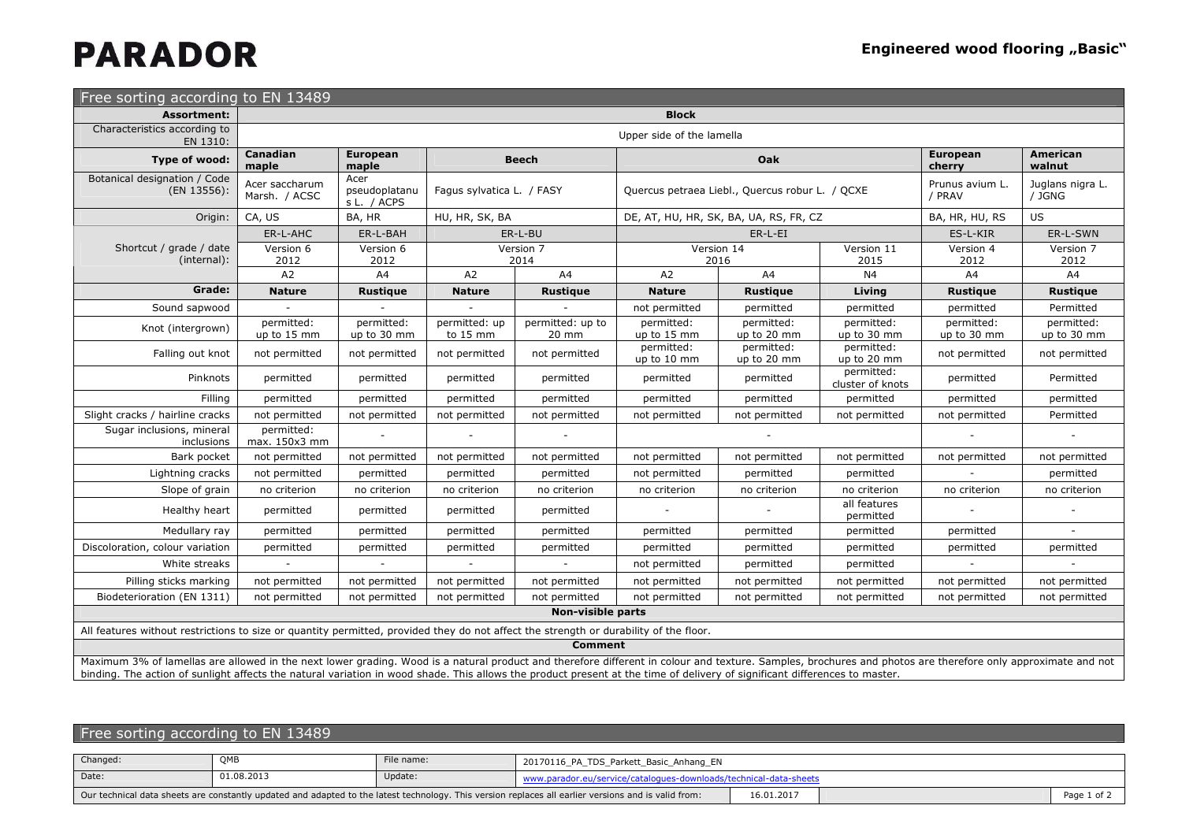## **PARADOR**

| Free sorting according to EN 13489                                                                                                                                                                          |                                 |                                      |                           |                           |                           |                                                 |                                |                           |                            |
|-------------------------------------------------------------------------------------------------------------------------------------------------------------------------------------------------------------|---------------------------------|--------------------------------------|---------------------------|---------------------------|---------------------------|-------------------------------------------------|--------------------------------|---------------------------|----------------------------|
| <b>Assortment:</b>                                                                                                                                                                                          | <b>Block</b>                    |                                      |                           |                           |                           |                                                 |                                |                           |                            |
| Characteristics according to<br>EN 1310:                                                                                                                                                                    | Upper side of the lamella       |                                      |                           |                           |                           |                                                 |                                |                           |                            |
| Type of wood:                                                                                                                                                                                               | Canadian<br>maple               | <b>European</b><br>maple             |                           | <b>Beech</b>              |                           | Oak                                             |                                | <b>European</b><br>cherry | <b>American</b><br>walnut  |
| Botanical designation / Code<br>(EN 13556):                                                                                                                                                                 | Acer saccharum<br>Marsh. / ACSC | Acer<br>pseudoplatanu<br>s L. / ACPS |                           | Fagus sylvatica L. / FASY |                           | Quercus petraea Liebl., Quercus robur L. / QCXE |                                | Prunus avium L.<br>/ PRAV | Juglans nigra L.<br>/ JGNG |
| Origin:                                                                                                                                                                                                     | CA, US                          | BA, HR                               | HU, HR, SK, BA            |                           |                           | DE, AT, HU, HR, SK, BA, UA, RS, FR, CZ          |                                | BA, HR, HU, RS            | <b>US</b>                  |
|                                                                                                                                                                                                             | ER-L-AHC                        | ER-L-BAH                             |                           | ER-L-BU                   |                           | $ER-L-EI$                                       |                                | ES-L-KIR                  | ER-L-SWN                   |
| Shortcut / grade / date<br>(internal):                                                                                                                                                                      | Version 6<br>2012               | Version 6<br>2012                    |                           | Version 7<br>2014         |                           | Version 14<br>2016                              | Version 11<br>2015             | Version 4<br>2012         | Version 7<br>2012          |
|                                                                                                                                                                                                             | A2                              | A4                                   | A2                        | A4                        | A2                        | A4                                              | N <sub>4</sub>                 | A4                        | A <sup>4</sup>             |
| Grade:                                                                                                                                                                                                      | <b>Nature</b>                   | <b>Rustique</b>                      | <b>Nature</b>             | <b>Rustique</b>           | <b>Nature</b>             | <b>Rustique</b>                                 | Living                         | <b>Rustique</b>           | <b>Rustique</b>            |
| Sound sapwood                                                                                                                                                                                               |                                 |                                      |                           |                           | not permitted             | permitted                                       | permitted                      | permitted                 | Permitted                  |
| Knot (intergrown)                                                                                                                                                                                           | permitted:<br>up to 15 mm       | permitted:<br>up to 30 mm            | permitted: up<br>to 15 mm | permitted: up to<br>20 mm | permitted:<br>up to 15 mm | permitted:<br>up to 20 mm                       | permitted:<br>up to 30 mm      | permitted:<br>up to 30 mm | permitted:<br>up to 30 mm  |
| Falling out knot                                                                                                                                                                                            | not permitted                   | not permitted                        | not permitted             | not permitted             | permitted:<br>up to 10 mm | permitted:<br>up to 20 mm                       | permitted:<br>up to 20 mm      | not permitted             | not permitted              |
| Pinknots                                                                                                                                                                                                    | permitted                       | permitted                            | permitted                 | permitted                 | permitted                 | permitted                                       | permitted:<br>cluster of knots | permitted                 | Permitted                  |
| Filling                                                                                                                                                                                                     | permitted                       | permitted                            | permitted                 | permitted                 | permitted                 | permitted                                       | permitted                      | permitted                 | permitted                  |
| Slight cracks / hairline cracks                                                                                                                                                                             | not permitted                   | not permitted                        | not permitted             | not permitted             | not permitted             | not permitted                                   | not permitted                  | not permitted             | Permitted                  |
| Sugar inclusions, mineral<br>inclusions                                                                                                                                                                     | permitted:<br>max. 150x3 mm     |                                      |                           |                           |                           |                                                 |                                |                           |                            |
| Bark pocket                                                                                                                                                                                                 | not permitted                   | not permitted                        | not permitted             | not permitted             | not permitted             | not permitted                                   | not permitted                  | not permitted             | not permitted              |
| Lightning cracks                                                                                                                                                                                            | not permitted                   | permitted                            | permitted                 | permitted                 | not permitted             | permitted                                       | permitted                      |                           | permitted                  |
| Slope of grain                                                                                                                                                                                              | no criterion                    | no criterion                         | no criterion              | no criterion              | no criterion              | no criterion                                    | no criterion                   | no criterion              | no criterion               |
| Healthy heart                                                                                                                                                                                               | permitted                       | permitted                            | permitted                 | permitted                 |                           |                                                 | all features<br>permitted      |                           |                            |
| Medullary ray                                                                                                                                                                                               | permitted                       | permitted                            | permitted                 | permitted                 | permitted                 | permitted                                       | permitted                      | permitted                 |                            |
| Discoloration, colour variation                                                                                                                                                                             | permitted                       | permitted                            | permitted                 | permitted                 | permitted                 | permitted                                       | permitted                      | permitted                 | permitted                  |
| White streaks                                                                                                                                                                                               |                                 |                                      |                           |                           | not permitted             | permitted                                       | permitted                      |                           |                            |
| Pilling sticks marking                                                                                                                                                                                      | not permitted                   | not permitted                        | not permitted             | not permitted             | not permitted             | not permitted                                   | not permitted                  | not permitted             | not permitted              |
| Biodeterioration (EN 1311)                                                                                                                                                                                  | not permitted                   | not permitted                        | not permitted             | not permitted             | not permitted             | not permitted                                   | not permitted                  | not permitted             | not permitted              |
|                                                                                                                                                                                                             |                                 |                                      |                           | Non-visible parts         |                           |                                                 |                                |                           |                            |
| All features without restrictions to size or quantity permitted, provided they do not affect the strength or durability of the floor.                                                                       |                                 |                                      |                           |                           |                           |                                                 |                                |                           |                            |
|                                                                                                                                                                                                             |                                 |                                      |                           | <b>Comment</b>            |                           |                                                 |                                |                           |                            |
| Maximum 3% of lamellas are allowed in the next lower grading. Wood is a natural product and therefore different in colour and texture. Samples, brochures and photos are therefore only approximate and not |                                 |                                      |                           |                           |                           |                                                 |                                |                           |                            |

Maximum 3% of lamellas are allowed in the next lower grading. Wood is a natural product and therefore different in colour and texture. Samples, brochures and photos are therefore only approximate and not binding. The action of sunlight affects the natural variation in wood shade. This allows the product present at the time of delivery of significant differences to master.

| Free sorting according to EN 13489                                                                                                                   |            |            |                                                                   |            |  |             |  |
|------------------------------------------------------------------------------------------------------------------------------------------------------|------------|------------|-------------------------------------------------------------------|------------|--|-------------|--|
|                                                                                                                                                      |            |            |                                                                   |            |  |             |  |
| Changed:                                                                                                                                             | OMB        | File name: | 20170116_PA_TDS_Parkett_Basic_Anhang_EN                           |            |  |             |  |
| Date:                                                                                                                                                | 01.08.2013 | Update:    | www.parador.eu/service/catalogues-downloads/technical-data-sheets |            |  |             |  |
| Our technical data sheets are constantly updated and adapted to the latest technology. This version replaces all earlier versions and is valid from: |            |            |                                                                   | 16.01.2017 |  | Page 1 of 2 |  |